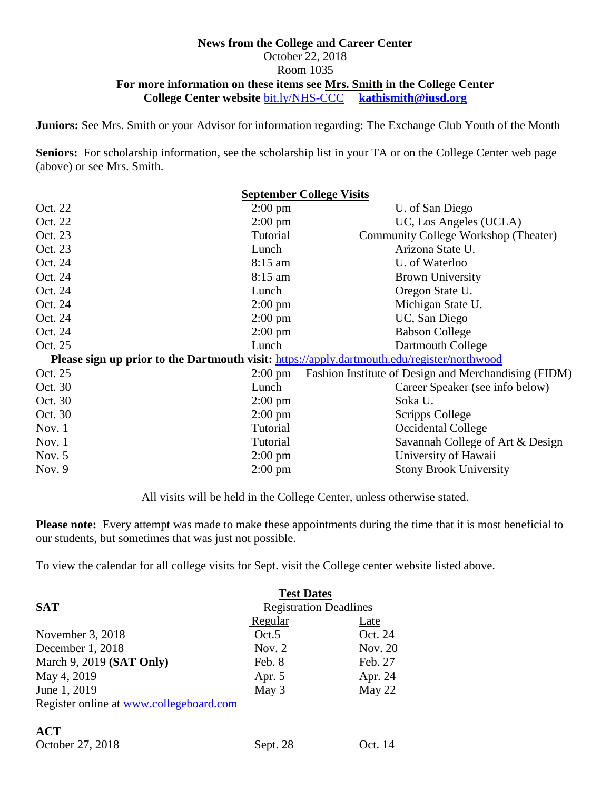#### **News from the College and Career Center** October 22, 2018 Room 1035 **For more information on these items see Mrs. Smith in the College Center College Center website** [bit.ly/NHS-CCC](http://bit.ly/NHS-CCC) **[kathismith@iusd.org](mailto:kathismith@iusd.org)**

**Juniors:** See Mrs. Smith or your Advisor for information regarding: The Exchange Club Youth of the Month

**Seniors:** For scholarship information, see the scholarship list in your TA or on the College Center web page (above) or see Mrs. Smith.

|                                                                                             | <b>September College Visits</b>                      |  |  |  |
|---------------------------------------------------------------------------------------------|------------------------------------------------------|--|--|--|
| $2:00 \text{ pm}$                                                                           | U. of San Diego                                      |  |  |  |
| $2:00 \text{ pm}$                                                                           | UC, Los Angeles (UCLA)                               |  |  |  |
| Tutorial                                                                                    | Community College Workshop (Theater)                 |  |  |  |
| Lunch                                                                                       | Arizona State U.                                     |  |  |  |
| $8:15$ am                                                                                   | U. of Waterloo                                       |  |  |  |
| $8:15$ am                                                                                   | <b>Brown University</b>                              |  |  |  |
| Lunch                                                                                       | Oregon State U.                                      |  |  |  |
| $2:00 \text{ pm}$                                                                           | Michigan State U.                                    |  |  |  |
| $2:00 \text{ pm}$                                                                           | UC, San Diego                                        |  |  |  |
| $2:00 \text{ pm}$                                                                           | <b>Babson College</b>                                |  |  |  |
| Lunch                                                                                       | Dartmouth College                                    |  |  |  |
| Please sign up prior to the Dartmouth visit: https://apply.dartmouth.edu/register/northwood |                                                      |  |  |  |
| $2:00 \text{ pm}$                                                                           | Fashion Institute of Design and Merchandising (FIDM) |  |  |  |
| Lunch                                                                                       | Career Speaker (see info below)                      |  |  |  |
| $2:00 \text{ pm}$                                                                           | Soka U.                                              |  |  |  |
| $2:00 \text{ pm}$                                                                           | <b>Scripps College</b>                               |  |  |  |
| Tutorial                                                                                    | Occidental College                                   |  |  |  |
| <b>Tutorial</b>                                                                             | Savannah College of Art & Design                     |  |  |  |
| $2:00 \text{ pm}$                                                                           | University of Hawaii                                 |  |  |  |
| $2:00$ pm                                                                                   | <b>Stony Brook University</b>                        |  |  |  |
|                                                                                             |                                                      |  |  |  |

All visits will be held in the College Center, unless otherwise stated.

**Please note:** Every attempt was made to make these appointments during the time that it is most beneficial to our students, but sometimes that was just not possible.

To view the calendar for all college visits for Sept. visit the College center website listed above.

|                                         | <b>Test Dates</b>             |         |  |
|-----------------------------------------|-------------------------------|---------|--|
| <b>SAT</b>                              | <b>Registration Deadlines</b> |         |  |
|                                         | Regular                       | Late    |  |
| November 3, 2018                        | Oct.5                         | Oct. 24 |  |
| December 1, 2018                        | Nov. $2$                      | Nov. 20 |  |
| March 9, 2019 (SAT Only)                | Feb. 8                        | Feb. 27 |  |
| May 4, 2019                             | Apr. 5                        | Apr. 24 |  |
| June 1, 2019                            | May 3                         | May 22  |  |
| Register online at www.collegeboard.com |                               |         |  |
|                                         |                               |         |  |
| $\sqrt{2}$                              |                               |         |  |

| ${\bf A}$ u      |  |  |
|------------------|--|--|
| October 27, 2018 |  |  |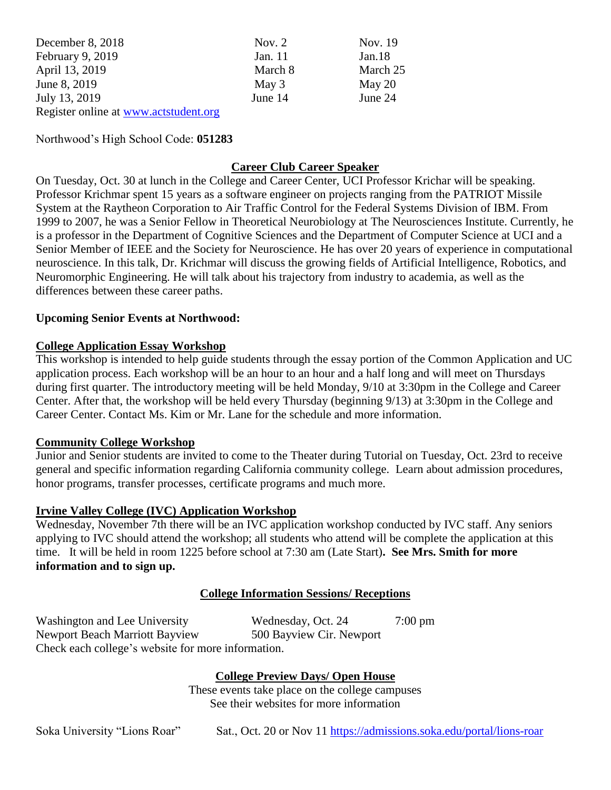| December 8, 2018                      | Nov. $2$ | Nov. 19  |
|---------------------------------------|----------|----------|
| February 9, 2019                      | Jan. 11  | Jan.18   |
| April 13, 2019                        | March 8  | March 25 |
| June 8, 2019                          | May 3    | May $20$ |
| July 13, 2019                         | June 14  | June 24  |
| Register online at www.actstudent.org |          |          |

Northwood's High School Code: **051283**

# **Career Club Career Speaker**

On Tuesday, Oct. 30 at lunch in the College and Career Center, UCI Professor Krichar will be speaking. Professor Krichmar spent 15 years as a software engineer on projects ranging from the PATRIOT Missile System at the Raytheon Corporation to Air Traffic Control for the Federal Systems Division of IBM. From 1999 to 2007, he was a Senior Fellow in Theoretical Neurobiology at The Neurosciences Institute. Currently, he is a professor in the Department of Cognitive Sciences and the Department of Computer Science at UCI and a Senior Member of IEEE and the Society for Neuroscience. He has over 20 years of experience in computational neuroscience. In this talk, Dr. Krichmar will discuss the growing fields of Artificial Intelligence, Robotics, and Neuromorphic Engineering. He will talk about his trajectory from industry to academia, as well as the differences between these career paths.

#### **Upcoming Senior Events at Northwood:**

#### **College Application Essay Workshop**

This workshop is intended to help guide students through the essay portion of the Common Application and UC application process. Each workshop will be an hour to an hour and a half long and will meet on Thursdays during first quarter. The introductory meeting will be held Monday, 9/10 at 3:30pm in the College and Career Center. After that, the workshop will be held every Thursday (beginning 9/13) at 3:30pm in the College and Career Center. Contact Ms. Kim or Mr. Lane for the schedule and more information.

#### **Community College Workshop**

Junior and Senior students are invited to come to the Theater during Tutorial on Tuesday, Oct. 23rd to receive general and specific information regarding California community college. Learn about admission procedures, honor programs, transfer processes, certificate programs and much more.

#### **Irvine Valley College (IVC) Application Workshop**

Wednesday, November 7th there will be an IVC application workshop conducted by IVC staff. Any seniors applying to IVC should attend the workshop; all students who attend will be complete the application at this time. It will be held in room 1225 before school at 7:30 am (Late Start)**. See Mrs. Smith for more information and to sign up.**

# **College Information Sessions/ Receptions**

Washington and Lee University Wednesday, Oct. 24 7:00 pm Newport Beach Marriott Bayview 500 Bayview Cir. Newport Check each college's website for more information.

**College Preview Days/ Open House**

These events take place on the college campuses See their websites for more information

Soka University "Lions Roar" Sat., Oct. 20 or Nov 11<https://admissions.soka.edu/portal/lions-roar>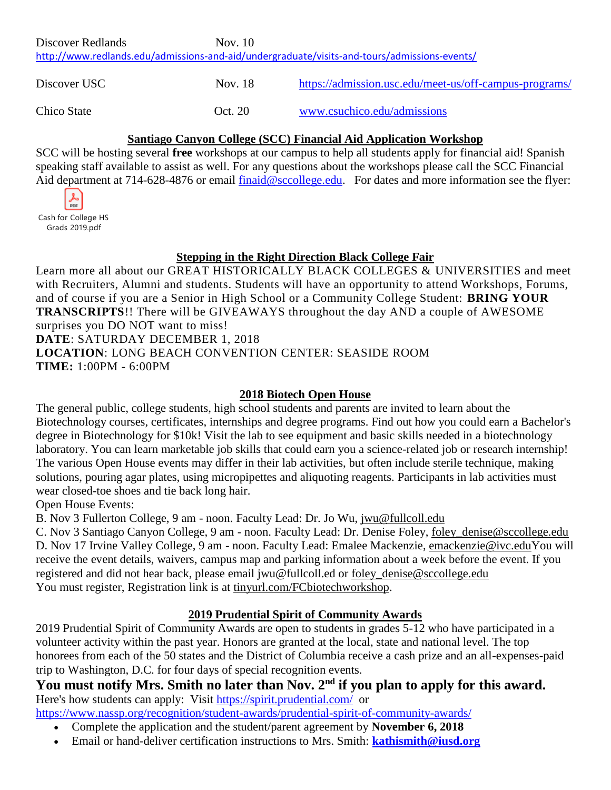| Discover Redlands                                                                            | Nov. 10 |                                                        |  |  |  |  |
|----------------------------------------------------------------------------------------------|---------|--------------------------------------------------------|--|--|--|--|
| http://www.redlands.edu/admissions-and-aid/undergraduate/visits-and-tours/admissions-events/ |         |                                                        |  |  |  |  |
|                                                                                              |         |                                                        |  |  |  |  |
| Discover USC                                                                                 | Nov. 18 | https://admission.usc.edu/meet-us/off-campus-programs/ |  |  |  |  |
|                                                                                              |         |                                                        |  |  |  |  |
| Chico State                                                                                  | Oct. 20 | www.csuchico.edu/admissions                            |  |  |  |  |
|                                                                                              |         |                                                        |  |  |  |  |

#### **Santiago Canyon College (SCC) Financial Aid Application Workshop**

SCC will be hosting several **free** workshops at our campus to help all students apply for financial aid! Spanish speaking staff available to assist as well. For any questions about the workshops please call the SCC Financial Aid department at 714-628-4876 or email [finaid@sccollege.edu.](mailto:finaid@sccollege.edu) For dates and more information see the flyer:



# **Stepping in the Right Direction Black College Fair**

Learn more all about our GREAT HISTORICALLY BLACK COLLEGES & UNIVERSITIES and meet with Recruiters, Alumni and students. Students will have an opportunity to attend Workshops, Forums, and of course if you are a Senior in High School or a Community College Student: **BRING YOUR TRANSCRIPTS**!! There will be GIVEAWAYS throughout the day AND a couple of AWESOME surprises you DO NOT want to miss! **DATE**: SATURDAY DECEMBER 1, 2018 **LOCATION**: LONG BEACH CONVENTION CENTER: SEASIDE ROOM **TIME:** 1:00PM - 6:00PM

#### **2018 Biotech Open House**

The general public, college students, high school students and parents are invited to learn about the Biotechnology courses, certificates, internships and degree programs. Find out how you could earn a Bachelor's degree in Biotechnology for \$10k! Visit the lab to see equipment and basic skills needed in a biotechnology laboratory. You can learn marketable job skills that could earn you a science-related job or research internship! The various Open House events may differ in their lab activities, but often include sterile technique, making solutions, pouring agar plates, using micropipettes and aliquoting reagents. Participants in lab activities must wear closed-toe shoes and tie back long hair.

Open House Events:

B. Nov 3 Fullerton College, 9 am - noon. Faculty Lead: Dr. Jo Wu, [jwu@fullcoll.edu](mailto:jwu@fullcoll.edu)

C. Nov 3 Santiago Canyon College, 9 am - noon. Faculty Lead: Dr. Denise Foley, [foley\\_denise@sccollege.edu](mailto:foley_denise@sccollege.edu) D. Nov 17 Irvine Valley College, 9 am - noon. Faculty Lead: Emalee Mackenzie, [emackenzie@ivc.eduY](mailto:emackenzie@ivc.edu)ou will receive the event details, waivers, campus map and parking information about a week before the event. If you registered and did not hear back, please email jwu@fullcoll.ed or [foley\\_denise@sccollege.edu](mailto:foley_denise@sccollege.edu) You must register, Registration link is at [tinyurl.com/FCbiotechworkshop.](https://www.google.com/url?q=http://tinyurl.com/FCbiotechworkshop&sa=D&ust=1538415334570000&usg=AFQjCNHnqb7ug3-vEJp-sdgth7DtsIfZqg)

# **2019 Prudential Spirit of Community Awards**

2019 Prudential Spirit of Community Awards are open to students in grades 5-12 who have participated in a volunteer activity within the past year. Honors are granted at the local, state and national level. The top honorees from each of the 50 states and the District of Columbia receive a cash prize and an all-expenses-paid trip to Washington, D.C. for four days of special recognition events.

**You must notify Mrs. Smith no later than Nov. 2nd if you plan to apply for this award.** Here's how students can apply: Visit<https://spirit.prudential.com/> or

<https://www.nassp.org/recognition/student-awards/prudential-spirit-of-community-awards/>

- Complete the application and the student/parent agreement by **November 6, 2018**
- Email or hand-deliver certification instructions to Mrs. Smith: **[kathismith@iusd.org](mailto:kathismith@iusd.org)**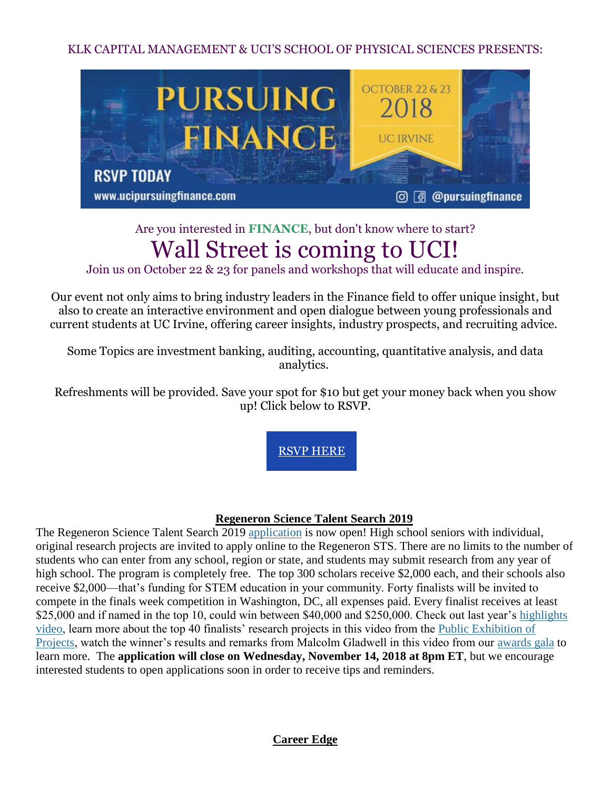KLK CAPITAL MANAGEMENT & UCI'S SCHOOL OF PHYSICAL SCIENCES PRESENTS:



# Are you interested in **FINANCE**, but don't know where to start? Wall Street is coming to UCI!

Join us on October 22 & 23 for panels and workshops that will educate and inspire.

Our event not only aims to bring industry leaders in the Finance field to offer unique insight, but also to create an interactive environment and open dialogue between young professionals and current students at UC Irvine, offering career insights, industry prospects, and recruiting advice.

Some Topics are investment banking, auditing, accounting, quantitative analysis, and data analytics.

Refreshments will be provided. Save your spot for \$10 but get your money back when you show up! Click below to RSVP.

[RSVP HERE](https://www.eventbrite.com/e/pursuing-finance-tickets-50346692312)

#### **Regeneron Science Talent Search 2019**

The Regeneron Science Talent Search 2019 [application](http://click.societyforscience-email.com/?qs=32ad33416183f14bbbbd74b19d34de6631e215fcbd0b60ee869df9d3ef11e564b548a39ee398a8b6ab2e92836892598c) is now open! High school seniors with individual, original research projects are invited to apply online to the Regeneron STS. There are no limits to the number of students who can enter from any school, region or state, and students may submit research from any year of high school. The program is completely free. The top 300 scholars receive \$2,000 each, and their schools also receive \$2,000—that's funding for STEM education in your community. Forty finalists will be invited to compete in the finals week competition in Washington, DC, all expenses paid. Every finalist receives at least \$25,000 and if named in the top 10, could win between \$40,000 and \$250,000. Check out last year's highlights [video,](http://click.societyforscience-email.com/?qs=32ad33416183f14b59549800b8de2ad036eb035f79612370bbc2b6ac3114436d34444cea6f1b010e0348b1b236b25b0d) learn more about the top 40 finalists' research projects in this video from the [Public Exhibition of](http://click.societyforscience-email.com/?qs=864165e8fdb728290c5632240964a8c2330557a9f010753d33a00ccfbe6d6939d1aaf4c98ae80b00129a38710bb56c16)  [Projects,](http://click.societyforscience-email.com/?qs=864165e8fdb728290c5632240964a8c2330557a9f010753d33a00ccfbe6d6939d1aaf4c98ae80b00129a38710bb56c16) watch the winner's results and remarks from Malcolm Gladwell in this video from our [awards gala](http://click.societyforscience-email.com/?qs=864165e8fdb7282909148e4869824e5217413b154fc99f5e911375a1b861e5c03344087dee669aa15d45a828ad93daac) to learn more. The **application will close on Wednesday, November 14, 2018 at 8pm ET**, but we encourage interested students to open applications soon in order to receive tips and reminders.

**Career Edge**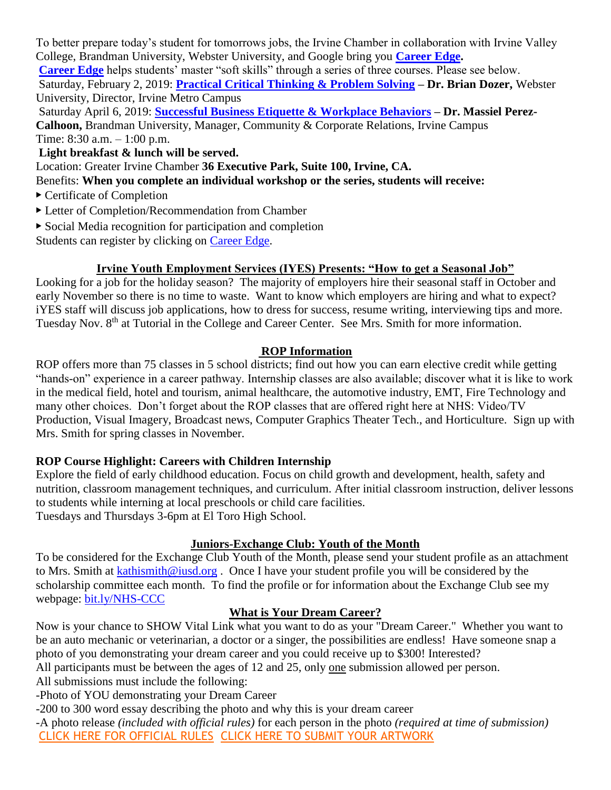To better prepare today's student for tomorrows jobs, the Irvine Chamber in collaboration with Irvine Valley College, Brandman University, Webster University, and Google bring you **[Career Edge.](https://www.greaterirvinechamber.com/irvinechamber/career-edge) [Career Edge](https://www.greaterirvinechamber.com/irvinechamber/career-edge)** helps students' master "soft skills" through a series of three courses. Please see below. Saturday, February 2, 2019: **[Practical Critical Thinking & Problem Solving](https://www.greaterirvinechamber.com/irvinechamber/career-edge) – Dr. Brian Dozer,** Webster University, Director, Irvine Metro Campus

Saturday April 6, 2019: **[Successful Business Etiquette & Workplace Behaviors](https://www.greaterirvinechamber.com/irvinechamber/career-edge) – Dr. Massiel Perez-Calhoon,** Brandman University, Manager, Community & Corporate Relations, Irvine Campus Time: 8:30 a.m. – 1:00 p.m.

**Light breakfast & lunch will be served.**

Location: Greater Irvine Chamber **36 Executive Park, Suite 100, Irvine, CA.** 

Benefits: **When you complete an individual workshop or the series, students will receive:** 

- ▶ Certificate of Completion
- ▶ Letter of Completion/Recommendation from Chamber
- $\triangleright$  Social Media recognition for participation and completion

Students can register by clicking on [Career Edge.](https://www.greaterirvinechamber.com/irvinechamber/career-edge)

#### **Irvine Youth Employment Services (IYES) Presents: "How to get a Seasonal Job"**

Looking for a job for the holiday season? The majority of employers hire their seasonal staff in October and early November so there is no time to waste. Want to know which employers are hiring and what to expect? iYES staff will discuss job applications, how to dress for success, resume writing, interviewing tips and more. Tuesday Nov. 8<sup>th</sup> at Tutorial in the College and Career Center. See Mrs. Smith for more information.

#### **ROP Information**

ROP offers more than 75 classes in 5 school districts; find out how you can earn elective credit while getting "hands-on" experience in a career pathway. Internship classes are also available; discover what it is like to work in the medical field, hotel and tourism, animal healthcare, the automotive industry, EMT, Fire Technology and many other choices. Don't forget about the ROP classes that are offered right here at NHS: Video/TV Production, Visual Imagery, Broadcast news, Computer Graphics Theater Tech., and Horticulture. Sign up with Mrs. Smith for spring classes in November.

# **ROP Course Highlight: Careers with Children Internship**

Explore the field of early childhood education. Focus on child growth and development, health, safety and nutrition, classroom management techniques, and curriculum. After initial classroom instruction, deliver lessons to students while interning at local preschools or child care facilities. Tuesdays and Thursdays 3-6pm at El Toro High School.

# **Juniors-Exchange Club: Youth of the Month**

To be considered for the Exchange Club Youth of the Month, please send your student profile as an attachment to Mrs. Smith at [kathismith@iusd.org](mailto:kathismith@iusd.org) . Once I have your student profile you will be considered by the scholarship committee each month. To find the profile or for information about the Exchange Club see my webpage: [bit.ly/NHS-CCC](http://bit.ly/NHS-CCC)

# **What is Your Dream Career?**

Now is your chance to SHOW Vital Link what you want to do as your "Dream Career." Whether you want to be an auto mechanic or veterinarian, a doctor or a singer, the possibilities are endless! Have someone snap a photo of you demonstrating your dream career and you could receive up to \$300! Interested?

All participants must be between the ages of 12 and 25, only one submission allowed per person.

All submissions must include the following:

-Photo of YOU demonstrating your Dream Career

-200 to 300 word essay describing the photo and why this is your dream career

-A photo release *(included with official rules)* for each person in the photo *(required at time of submission)* [CLICK HERE FOR OFFICIAL RULES](http://r20.rs6.net/tn.jsp?f=001JB6lhLhnZdn4UrAWuZ1NPsqEiwJ22UPOfnPRQQ5qlnBsxlo4X96FnEKPgz8njdxoUBoicD7CdG8sWuydx_eZMXbJ-VnQHp3FcJj9mSdRfjPHSinfPjFUReF3xCoMlIXwWhQjNv1P33acAXGwUgAn45ncfIiyQi-ly0NNTQ6mWZvT6RPosAcm_9Fs71J3txbtVw_q9TKJVFkjSxCrXF7JMCz3XqdXaJuOqOpNSdRcvH3HGY_oZwylABOVKGO-K5cz&c=ageNzD-dideV8uPecJNcqu9vRQVBs1EQkmzn3K7Vjg1YCdRM5vPG5w==&ch=J-ycwsnMfJdIUIsboDCARiFqObU74MDKbVPbBDpiMbghm1ZMYe1FlA==) [CLICK HERE TO SUBMIT YOUR ARTWORK](http://r20.rs6.net/tn.jsp?f=001JB6lhLhnZdn4UrAWuZ1NPsqEiwJ22UPOfnPRQQ5qlnBsxlo4X96FnMwJEzjzEmhyB-PkpKF8cLdGzF95kINHQxwbdFYiT7brLyEr_qY9ErnYMGpzFRDzk5dYlwTE6vAtjJUyg__VJR7X4zw-dXClCo86P-HUf25VBp4t6so4uOCn1yavaf9oWvuxXew2yubAqjxIvhVAGWQIGVOhAi-bkA==&c=ageNzD-dideV8uPecJNcqu9vRQVBs1EQkmzn3K7Vjg1YCdRM5vPG5w==&ch=J-ycwsnMfJdIUIsboDCARiFqObU74MDKbVPbBDpiMbghm1ZMYe1FlA==)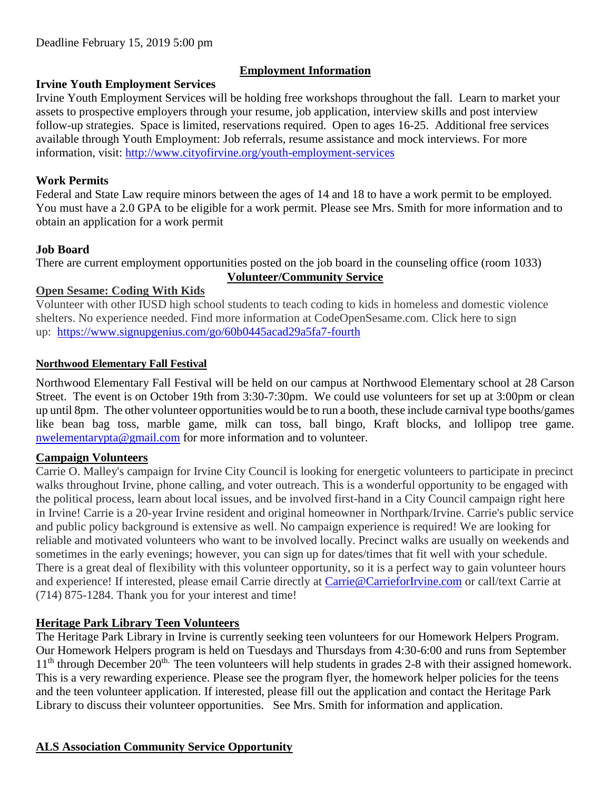# **Employment Information**

#### **Irvine Youth Employment Services**

Irvine Youth Employment Services will be holding free workshops throughout the fall. Learn to market your assets to prospective employers through your resume, job application, interview skills and post interview follow-up strategies. Space is limited, reservations required. Open to ages 16-25. Additional free services available through Youth Employment: Job referrals, resume assistance and mock interviews. For more information, visit:<http://www.cityofirvine.org/youth-employment-services>

### **Work Permits**

Federal and State Law require minors between the ages of 14 and 18 to have a work permit to be employed. You must have a 2.0 GPA to be eligible for a work permit. Please see Mrs. Smith for more information and to obtain an application for a work permit

#### **Job Board**

There are current employment opportunities posted on the job board in the counseling office (room 1033) **Volunteer/Community Service**

# **Open Sesame: Coding With Kids**

Volunteer with other IUSD high school students to teach coding to kids in homeless and domestic violence shelters. No experience needed. Find more information at CodeOpenSesame.com. Click here to sign up: <https://www.signupgenius.com/go/60b0445acad29a5fa7-fourth>

#### **Northwood Elementary Fall Festival**

Northwood Elementary Fall Festival will be held on our campus at Northwood Elementary school at 28 Carson Street. The event is on October 19th from 3:30-7:30pm. We could use volunteers for set up at 3:00pm or clean up until 8pm. The other volunteer opportunities would be to run a booth, these include carnival type booths/games like bean bag toss, marble game, milk can toss, ball bingo, Kraft blocks, and lollipop tree game. [nwelementarypta@gmail.com](mailto:nwelementarypta@gmail.com) for more information and to volunteer.

#### **Campaign Volunteers**

Carrie O. Malley's campaign for Irvine City Council is looking for energetic volunteers to participate in precinct walks throughout Irvine, phone calling, and voter outreach. This is a wonderful opportunity to be engaged with the political process, learn about local issues, and be involved first-hand in a City Council campaign right here in Irvine! Carrie is a 20-year Irvine resident and original homeowner in Northpark/Irvine. Carrie's public service and public policy background is extensive as well. No campaign experience is required! We are looking for reliable and motivated volunteers who want to be involved locally. Precinct walks are usually on weekends and sometimes in the early evenings; however, you can sign up for dates/times that fit well with your schedule. There is a great deal of flexibility with this volunteer opportunity, so it is a perfect way to gain volunteer hours and experience! If interested, please email Carrie directly at [Carrie@CarrieforIrvine.com](mailto:Carrie@CarrieforIrvine.com) or call/text Carrie at (714) 875-1284. Thank you for your interest and time!

# **Heritage Park Library Teen Volunteers**

The Heritage Park Library in Irvine is currently seeking teen volunteers for our Homework Helpers Program. Our Homework Helpers program is held on Tuesdays and Thursdays from 4:30-6:00 and runs from September  $11<sup>th</sup>$  through December  $20<sup>th</sup>$ . The teen volunteers will help students in grades 2-8 with their assigned homework. This is a very rewarding experience. Please see the program flyer, the homework helper policies for the teens and the teen volunteer application. If interested, please fill out the application and contact the Heritage Park Library to discuss their volunteer opportunities. See Mrs. Smith for information and application.

# **ALS Association Community Service Opportunity**